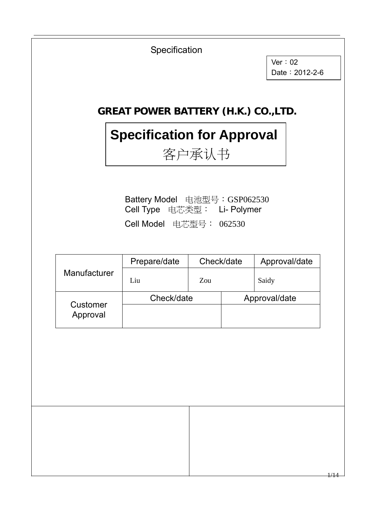

 $\overline{\phantom{a}}$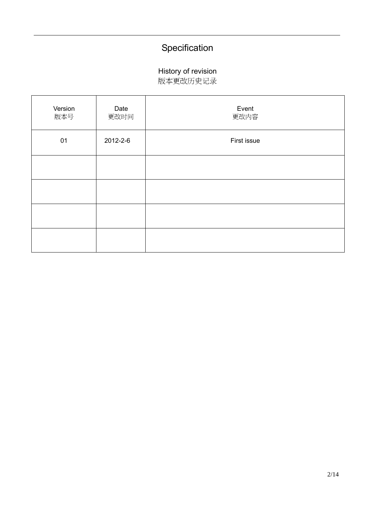#### History of revision

版本更改历史记录

| Version<br>版本号 | Date<br>更改时间 | Event<br>更改内容 |
|----------------|--------------|---------------|
| 01             | 2012-2-6     | First issue   |
|                |              |               |
|                |              |               |
|                |              |               |
|                |              |               |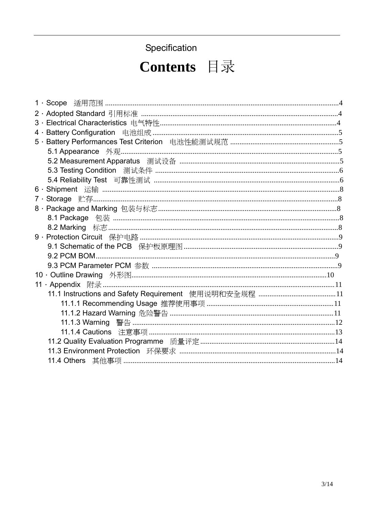# Contents 目录

| 5 · Battery Performances Test Criterion 电池性能测试规范 ……………………………………………………5 |  |
|------------------------------------------------------------------------|--|
|                                                                        |  |
| 5.2 Measurement Apparatus 测试设备 …………………………………………………………………………5           |  |
|                                                                        |  |
|                                                                        |  |
|                                                                        |  |
|                                                                        |  |
|                                                                        |  |
|                                                                        |  |
|                                                                        |  |
|                                                                        |  |
|                                                                        |  |
|                                                                        |  |
|                                                                        |  |
|                                                                        |  |
|                                                                        |  |
|                                                                        |  |
|                                                                        |  |
|                                                                        |  |
|                                                                        |  |
|                                                                        |  |
|                                                                        |  |
|                                                                        |  |
|                                                                        |  |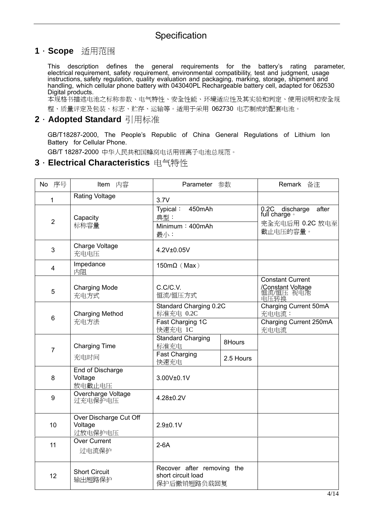#### **1**.**Scope** 适用范围

This description defines the general requirements for the battery's rating parameter, electrical requirement, safety requirement, environmental compatibility, test and judgment, usage instructions, safety regulation, quality evaluation and packaging, marking, storage, shipment and handling, which cellular phone battery with 043040PL Rechargeable battery cell, adapted for 062530 Digital products.

本规格书描述电池之标称参数、电气特性、安全性能、环境适应性及其实验和判定、使用说明和安全规 程、质量评定及包装、标志、贮存、运输等。适用于采用 062730 电芯制成的配套电池。

#### **2**.**Adopted Standard** 引用标准

GB/T18287-2000, The People's Republic of China General Regulations of Lithium Ion Battery for Cellular Phone.

GB/T 18287-2000 中华人民共和国蜂窝电话用锂离子电池总规范。

#### **3**.**Electrical Characteristics** 电气特性

| No 序号           | Item 内容                                      | Parameter 参数                                                         |                     | Remark 备注                                                             |
|-----------------|----------------------------------------------|----------------------------------------------------------------------|---------------------|-----------------------------------------------------------------------|
| 1               | <b>Rating Voltage</b>                        | 3.7V                                                                 |                     |                                                                       |
| $\overline{2}$  | Capacity<br>标称容量                             | Typical:<br>450mAh<br>典型:<br>Minimum: 400mAh<br>最小:                  |                     | after<br>0.2C discharge<br>full charge<br>完全充电后用 0.2C 放电至<br>截止电压的容量。 |
| 3               | Charge Voltage<br>充电电压                       | 4.2V±0.05V                                                           |                     |                                                                       |
| 4               | Impedance<br>内阻                              | 150m $\Omega$ (Max)                                                  |                     |                                                                       |
| 5               | <b>Charging Mode</b><br>充电方式                 | C.C/C.V.<br>恒流/恒压方式                                                  |                     | <b>Constant Current</b><br>/Constant Voltage<br>恒流/恒压 视电池<br>电压转换     |
| $6\phantom{1}6$ | <b>Charging Method</b><br>充电方法               | Standard Charging 0.2C<br>标准充电 0.2C<br>Fast Charging 1C              |                     | Charging Current 50mA<br>充电电流:<br>Charging Current 250mA              |
| $\overline{7}$  | <b>Charging Time</b><br>充电时间                 | 快速充电 1C<br><b>Standard Charging</b><br>标准充电<br>Fast Charging<br>快速充电 | 8Hours<br>2.5 Hours | 充电电流                                                                  |
| 8               | End of Discharge<br>Voltage<br>放电截止电压        | 3.00V±0.1V                                                           |                     |                                                                       |
| 9               | Overcharge Voltage<br>过充电保护电压                | 4.28±0.2V                                                            |                     |                                                                       |
| 10              | Over Discharge Cut Off<br>Voltage<br>过放电保护电压 | $2.9 + 0.1V$                                                         |                     |                                                                       |
| 11              | <b>Over Current</b><br>过电流保护                 | $2-6A$                                                               |                     |                                                                       |
| 12              | <b>Short Circuit</b><br>输出短路保护               | Recover after removing the<br>short circuit load<br>保护后撤销短路负载回复      |                     |                                                                       |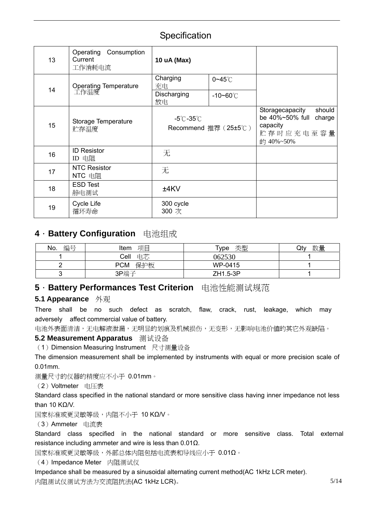| 13 | Consumption<br>Operating<br>Current<br>工作消耗电流 | 10 uA (Max)                    |                      |                                                                                              |
|----|-----------------------------------------------|--------------------------------|----------------------|----------------------------------------------------------------------------------------------|
| 14 | <b>Operating Temperature</b><br>工作温度          | Charging<br>充电                 | $0 - 45^\circ C$     |                                                                                              |
|    |                                               | Discharging<br>放电              | $-10$ ~60 $°C$       |                                                                                              |
| 15 | Storage Temperature<br>贮存温度                   | $-5^{\circ}$ C $-35^{\circ}$ C | Recommend 推荐 (25±5℃) | should<br>Storagecapacity<br>be 40%~50% full<br>charge<br>capacity<br>贮存时应充电至容量<br>的 40%~50% |
| 16 | <b>ID Resistor</b><br>ID 电阻                   | 无                              |                      |                                                                                              |
| 17 | <b>NTC Resistor</b><br>NTC 电阻                 | 无                              |                      |                                                                                              |
| 18 | <b>ESD Test</b><br>静电测试                       | ±4KV                           |                      |                                                                                              |
| 19 | Cycle Life<br>循环寿命                            | 300 cycle<br>300 次             |                      |                                                                                              |

#### **4**.**Battery Configuration** 电池组成

| 编号<br>No. | 项目<br>Item        | 类型<br>$\tau_{\text{ype}}$ | 数量<br>Qty |
|-----------|-------------------|---------------------------|-----------|
|           | 电芯<br>Cell        | 062530                    |           |
|           | 保护板<br><b>PCM</b> | WP-0415                   |           |
| ⌒         | 3P端子              | ZH1.5-3P                  |           |

#### **5**.**Battery Performances Test Criterion** 电池性能测试规范

#### **5.1 Appearance** 外观

There shall be no such defect as scratch, flaw, crack, rust, leakage, which may adversely affect commercial value of battery.

电池外表面清洁,无电解液泄漏,无明显的划痕及机械损伤,无变形,无影响电池价值的其它外观缺陷。

#### **5.2 Measurement Apparatus** 测试设备

(1) Dimension Measuring Instrument 尺寸测量设备

The dimension measurement shall be implemented by instruments with equal or more precision scale of 0.01mm.

测量尺寸的仪器的精度应不小于 0.01mm。

#### (2)Voltmeter 电压表

Standard class specified in the national standard or more sensitive class having inner impedance not less than 10 KΩ/V.

国家标准或更灵敏等级,内阻不小于 10 KΩ/V。

(3)Ammeter 电流表

Standard class specified in the national standard or more sensitive class. Total external resistance including ammeter and wire is less than 0.01Ω.

国家标准或更灵敏等级,外部总体内阻包括电流表和导线应小于 0.01Ω。

(4) Impedance Meter 内阻测试仪

Impedance shall be measured by a sinusoidal alternating current method(AC 1kHz LCR meter). 内阻测试仪测试方法为交流阻抗法(AC 1kHz LCR)。 5/14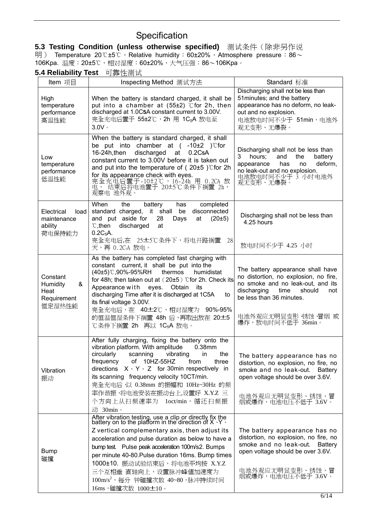**5.3 Testing Condition (unless otherwise specified)** 测试条件(除非另作说 明) Temperature 20℃±5℃, Relative humidity: 60±20%, Atmosphere pressure: 86 $\sim$ 106Kpa. 温度:20±5℃,相对湿度:60±20%,大气压强:86~106Kpa。

**5.4 Reliability Test** 可靠性测试

| Item 项目                                                    | Inspecting Method 测试方法                                                                                                                                                                                                                                                                                                                                                                                                                                               | Standard 标准                                                                                                                                                                                                                    |
|------------------------------------------------------------|----------------------------------------------------------------------------------------------------------------------------------------------------------------------------------------------------------------------------------------------------------------------------------------------------------------------------------------------------------------------------------------------------------------------------------------------------------------------|--------------------------------------------------------------------------------------------------------------------------------------------------------------------------------------------------------------------------------|
| High<br>temperature<br>performance<br>高温性能                 | When the battery is standard charged, it shall be<br>put into a chamber at $(55±2)$ °C for 2h, then<br>discharged at 1.0C5A constant current to 3.00V.<br>完全充电后置于 55±2℃,2h 用 1C <sub>5</sub> A 放电至<br>$3.0V \cdot$                                                                                                                                                                                                                                                   | Discharging shall not be less than<br>51 minutes; and the battery<br>appearance has no deform, no leak-<br>out and no explosion.<br>电池放电时间不少于 51min,电池外<br>观无变形、无爆裂。                                                           |
| Low<br>temperature<br>performance<br>低温性能                  | When the battery is standard charged, it shall<br>be put into chamber at $(-10\pm2)$ cfor<br>16-24h, then<br>discharged<br>at<br>0.2C <sub>5</sub> A<br>constant current to 3.00V before it is taken out<br>and put into the temperature of $(20±5)$ °C for 2h<br>for its appearance check with eyes.<br>完全充电后置于-10±2℃,16-24h 用 0.2CA 放<br>电, 结束后将电池置于 20±5℃条件下搁置 2h,<br>观察电 池外观。                                                                                    | Discharging shall not be less than<br>3<br>the<br>hours:<br>and<br>battery<br>deform,<br>appearance<br>has<br>no<br>no leak-out and no explosion.<br>电池放电时间不少于 3 小时电池外<br>观无变形、无爆裂。                                            |
| Electrical<br>load<br>maintenance<br>ability<br>荷电保持能力     | When<br>the<br>battery<br>completed<br>has<br>disconnected<br>standard charged, it shall<br>be<br>and put aside for<br>28<br>(20±5)<br>Days<br>at<br>$\mathcal{C},$ then<br>discharged<br>at<br>$0.2C_5$ A.<br>完全充电后,在 25±5℃条件下,将电开路搁置<br>28<br>天,再 0.2CsA 放电。                                                                                                                                                                                                       | Discharging shall not be less than<br>4.25 hours<br>放电时间不少于 4.25 小时                                                                                                                                                            |
| Constant<br>&<br>Humidity<br>Heat<br>Requirement<br>恒定湿热性能 | As the battery has completed fast charging with<br>constant current, it shall be put into the<br>(40±5)℃,90%-95%RH<br>thermos<br>humidistat<br>for 48h; then taken out at (20±5) °C for 2h. Check its<br>Appearance with eyes. Obtain<br>its<br>discharging Time after it is discharged at 1C5A<br>to<br>its final voltage 3.00V.<br>完全充电后,在 40±2℃,相对湿度为 90%-95%<br>的恒温恒湿条件下搁置 48h 后,再取出放在 20±5<br>℃条件下搁置 2h 再以 1C <sub>5</sub> A 放电。                                | The battery appearance shall have<br>no distortion, no explosion, no fire,<br>no smoke and no leak-out, and its<br>discharging<br>time<br>should<br>not<br>be less than 36 minutes.<br>电池外观应无明显变形 锈蚀 冒烟 或<br>爆炸,放电时间不低于 36min。 |
| Vibration<br>振动                                            | After fully charging, fixing the battery onto the<br>vibration platform. With amplitude<br>0.38mm<br>circularly<br>scanning<br>the<br>vibrating<br>in<br>of 10HZ-55HZ<br>frequency<br>from<br>three<br>directions $X \cdot Y \cdot Z$ for 30min respectively in<br>its scanning frequency velocity 10CT/min.<br>完全充电后,以 0.38mm 的振幅和 10Hz~30Hz 的频<br>率作谐振,将电池安装在振动台上,设置好 X.Y.Z 三<br>个方向上从扫频速率为 1oct/min,循还扫频振<br>动 30min。                                             | The battery appearance has no<br>distortion, no explosion, no fire, no<br>smoke and no leak-out. Battery<br>open voltage should be over 3.6V.<br>电池外观应无明显变形、锈蚀、冒<br>烟或爆炸,电池电压不低于 3.6V。                                         |
| <b>Bump</b><br>碰撞                                          | After vibration testing, use a clip or directly fix the battery on to the platform in the direction of $X \cdot Y$ .<br>Z vertical complementary axis, then adjust its<br>acceleration and pulse duration as below to have a<br>bump test. Pulse peak acceleration 100m/s2. Bumps<br>per minute 40-80. Pulse duration 16ms. Bump times<br>1000±10. 振动试验结束后,将电池平均按 X.Y.Z<br>三个互相垂 直轴向上,设置脉冲峰值加速度为<br>$100 \text{m/s}^2$ ,每分 钟碰撞次数 40~80,脉冲持续时间<br>16ms, 碰撞次数 1000±10。 | The battery appearance has no<br>distortion, no explosion, no fire, no<br>smoke and no leak-out.<br>Battery<br>open voltage should be over 3.6V.<br>电池外观应无明显变形、锈蚀、冒<br>烟或爆炸,电池电压不低于 3.6V。                                      |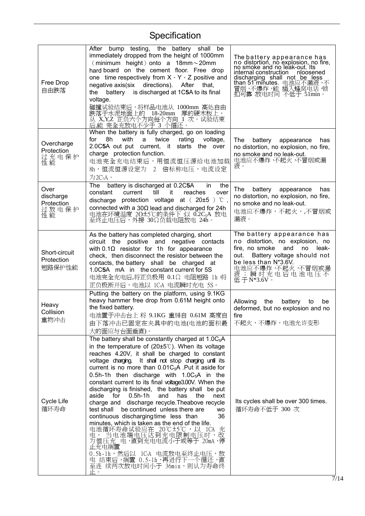$\overline{a}$ 

| Free Drop<br>自由跌落                              | After bump testing, the battery shall be<br>immediately dropped from the height of 1000mm<br>$(\text{minimum height})$ onto a 18mm $\sim$ 20mm<br>hard board on the cement floor. Free drop<br>one time respectively from $X \cdot Y \cdot Z$ positive and<br>negative axis(six directions). After<br>that,<br>battery is discharged at 1C5A to its final<br>the<br>voltage.<br>碰撞试验结束后,将样品电池从 1000mm 高处自由<br>跌落于水泥地面上的 18-20mm 厚的硬木板上,<br>从"X,Y,Z 正负六个方向每个方向 1 次。试验结束<br>后,能 完全充放电不少于 3 个循还。                                                                                                                                                                                                                                                                                                                                                                                                                             | The battery appearance has<br>no distortion, no explosion, no fire,<br>no smoke and no leak-out. Its<br>internal construction   nloosened<br>discharging shall not be less<br>than 51 minutes. 电池应不漏液,不<br>冒烟,不爆炸,能 插入蜂窝电话 锁<br>扣可靠 放电时间 不低于 51min。 |
|------------------------------------------------|---------------------------------------------------------------------------------------------------------------------------------------------------------------------------------------------------------------------------------------------------------------------------------------------------------------------------------------------------------------------------------------------------------------------------------------------------------------------------------------------------------------------------------------------------------------------------------------------------------------------------------------------------------------------------------------------------------------------------------------------------------------------------------------------------------------------------------------------------------------------------------------------------------------------------|-----------------------------------------------------------------------------------------------------------------------------------------------------------------------------------------------------------------------------------------------------|
| Overcharge<br>Protection<br>过充电保护<br>性能        | When the battery is fully charged, go on loading<br>8h<br>with<br>twice<br>rating<br>for<br>a<br>voltage,<br>2.0C5A out put current, it starts the over<br>charge protection function.<br>电池完全充电结束后,用恒流恒压源给电池加载<br>8h, 恒流恒源设定为 2 倍标称电压, 电流设定<br>为2C <sub>5</sub> A。                                                                                                                                                                                                                                                                                                                                                                                                                                                                                                                                                                                                                                                       | The<br>battery<br>appearance<br>has<br>no distortion, no explosion, no fire,<br>no smoke and no leak-out.<br>电池应不爆炸 不起火 不冒烟或漏<br>液。                                                                                                                 |
| Over<br>discharge<br>Protection<br>过放电保护<br>性能 | battery is discharged at 0.2C5A<br>the<br>The<br>in.<br>current<br>reaches<br>constant<br>till<br>it<br>over<br>discharge protection voltage at $(20±5)$ °C,<br>connected with a 30 $\Omega$ lead and discharged for 24h<br>电池在环境温度 20±5℃的条件下 以 0.2C <sub>5</sub> A 放电<br>至终止电压后,外接 30Ω负载电阻放电 24h。                                                                                                                                                                                                                                                                                                                                                                                                                                                                                                                                                                                                                        | The<br>battery appearance<br>has<br>no distortion, no explosion, no fire,<br>no smoke and no leak-out.<br>电池应不爆炸,不起火,,不冒烟或<br>漏液。                                                                                                                   |
| Short-circuit<br>Protection<br>短路保护性能          | As the battery has completed charging, short<br>circuit the positive and negative contacts<br>with $0.1\Omega$ resistor for 1h for appearance<br>check, then disconnect the resistor between the<br>contacts, the battery shall be charged at<br>1.0C5A mA in the constant current for 5S<br>电池完全充电后,将正负极用 0.1Ω 电阻短路 1h 将<br>正负极断开后,电池以 1CsA 电流瞬时充电 5S。                                                                                                                                                                                                                                                                                                                                                                                                                                                                                                                                                                   | The battery appearance has<br>no distortion, no explosion, no<br>fire, no smoke<br>and<br>no<br>leak-<br>Battery voltage should not<br>out.<br>be less than N*3.6V.<br>电池应不爆炸 不起火 不冒烟或漏<br>液; 瞬时充电后电池电压不<br>$4.4 \times 3.6V$                       |
| Heavy<br>Collision<br>重物冲击                     | Putting the battery on the platform, using 9.1KG<br>heavy hammer free drop from 0.61M height onto<br>the fixed battery.<br>电池置于冲击台上 将 9.1KG 重锤自 0.61M 高度自<br>由下落冲击已固定在夹具中的电池(电池的面积最<br>大的面应与台面垂直)。                                                                                                                                                                                                                                                                                                                                                                                                                                                                                                                                                                                                                                                                                                                        | Allowing<br>the<br>battery<br>to<br>be<br>deformed, but no explosion and no<br>fire<br>不起火,不爆炸,电池允许变形                                                                                                                                               |
| Cycle Life<br>循环寿命                             | The battery shall be constantly charged at $1.0C_5A$<br>in the temperature of $(20±5^{\circ}\text{C})$ . When its voltage<br>reaches 4.20V, it shall be charged to constant<br>voltage charging. It shall not stop charging until its<br>current is no more than $0.01C_5A$ . Put it aside for<br>0.5h-1h then discharge with $1.0C_5A$ in the<br>constant current to its final voltage3.00V. When the<br>discharging is finished, the battery shall be put<br>aside for 0.5h-1h<br>has<br>and<br>the<br>next<br>charge and discharge recycle. Theabove recycle<br>be continued unless there are<br>test shall<br><b>WO</b><br>continuous discharging time less than<br>36<br>minutes, which is taken as the end of the life.<br>电池循环寿命试验应在 20℃±5℃,以 ICA 充<br>电,_当电池端电压达到充电限制电压时,改<br>为恒压充 电,直到充电电流小于或等于 20mA,停<br>止充电搁置<br>0.5h-1h,然后以 1CsA 电流放电至终止电压,放<br>电 结束后,搁置 0.5-1h,再进行下一个循还,直<br>至连 续两次放电时间小于 36min,则认为寿命终<br>止。 | Its cycles shall be over 300 times.<br>循环寿命不低于 300 次                                                                                                                                                                                                |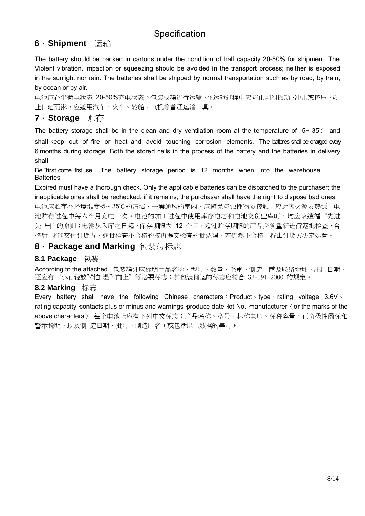### **6**.**Shipment** 运输

The battery should be packed in cartons under the condition of half capacity 20-50% for shipment. The Violent vibration, impaction or squeezing should be avoided in the transport process; neither is exposed in the sunlight nor rain. The batteries shall be shipped by normal transportation such as by road, by train, by ocean or by air.

电池应在半荷电状态 20-50%充电状态下包装成箱进行运输,在运输过程中应防止剧烈振动、冲击或挤压,防 止日晒雨淋,应适用汽车、火车、轮船、飞机等普通运输工具。

## **7**.**Storage** 贮存

The battery storage shall be in the clean and dry ventilation room at the temperature of -5~35° c and shall keep out of fire or heat and avoid touching corrosion elements. The batteries shall be charged every 6 months during storage. Both the stored cells in the process of the battery and the batteries in delivery shall

Be "first come, first use". The battery storage period is 12 months when into the warehouse. **Batteries** 

Expired must have a thorough check. Only the applicable batteries can be dispatched to the purchaser; the inapplicable ones shall be rechecked, if it remains, the purchaser shall have the right to dispose bad ones. 电池应贮存在环境温度-5~35℃的清洁、干燥通风的室内,应避免与蚀性物质接触,应远离火源及热源。电 池贮存过程中每六个月充电一次。电池的加工过程中使用库存电芯和电池交货出库时,均应该遵循"先进 先 出"的原则;电池从入库之日起,保存期限为 12 个月,超过贮存期限的产品必须重新进行逐批检查,合 格后 才能交付订货方,逐批检查不合格的按再提交检查的批处理,若仍然不合格,将由订货方决定处置。

#### **8**.**Package and Marking** 包装与标志

#### **8.1 Package** 包装

According to the attached. 包装箱外应标明产品名称、型号、数量、毛重、制造厂商及联络地址、出厂日期, 还应有"小心轻放""怕 湿""向上"等必要标志;其包装储运的标志应符合 GB-191-2000 的规定。

#### **8.2 Marking** 标志

Every battery shall have the following Chinese characters: Product、type、rating voltage 3.6V、 rating capacity contacts plus or minus and warnings produce date lot No. manufacturer (or the marks of the above characters)。 每个电池上应有下列中文标志:产品名称、型号、标称电压、标称容量、正负极性商标和 警示说明、以及制 造日期、批号、制造厂名(或包括以上数据的串号)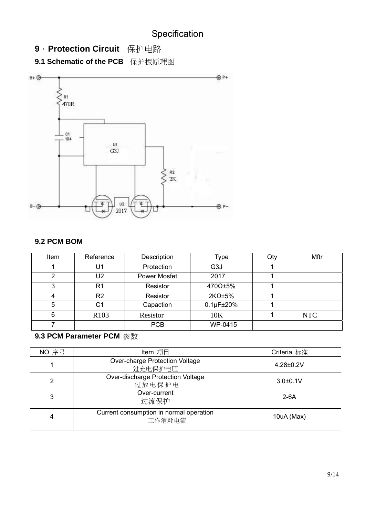**9**.**Protection Circuit** 保护电路

**9.1 Schematic of the PCB** 保护板原理图



#### **9.2 PCM BOM**

| Item | Reference        | Description         | Type                 | Qty | Mftr       |
|------|------------------|---------------------|----------------------|-----|------------|
|      | U1               | Protection          | G <sub>3</sub> J     |     |            |
| 2    | U <sub>2</sub>   | <b>Power Mosfet</b> | 2017                 |     |            |
| ≏    | R <sub>1</sub>   | Resistor            | 470Ω±5%              |     |            |
|      | R <sub>2</sub>   | Resistor            | $2K\Omega \pm 5\%$   |     |            |
| 5    | C <sub>1</sub>   | Capaction           | $0.1\mu$ F $\pm$ 20% |     |            |
|      | R <sub>103</sub> | Resistor            | 10K                  |     | <b>NTC</b> |
|      |                  | <b>PCB</b>          | WP-0415              |     |            |

## **9.3 PCM Parameter PCM** 参数

| NO 序号 | Item 项目                                           | Criteria 标准      |
|-------|---------------------------------------------------|------------------|
|       | Over-charge Protection Voltage<br>过充电保护电压         | $4.28 \pm 0.2 V$ |
| 2     | Over-discharge Protection Voltage<br>过放电保护电       | $3.0 + 0.1V$     |
| 3     | Over-current<br>过流保护                              | $2-6A$           |
| 4     | Current consumption in normal operation<br>工作消耗电流 | 10uA (Max)       |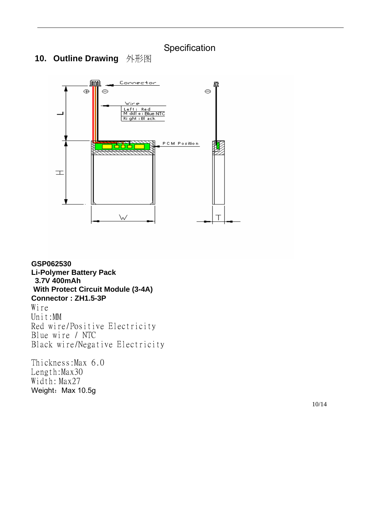### **10. Outline Drawing** 外形图



**GSP062530 Li-Polymer Battery Pack 3.7V 400mAh With Protect Circuit Module (3-4A) Connector : ZH1.5-3P**  Wire Unit:MM Red wire/Positive Electricity Blue wire / NTC Black wire/Negative Electricity

Thickness:Max 6.0 Length:Max30 Width: Max27 Weight: Max 10.5g

10/14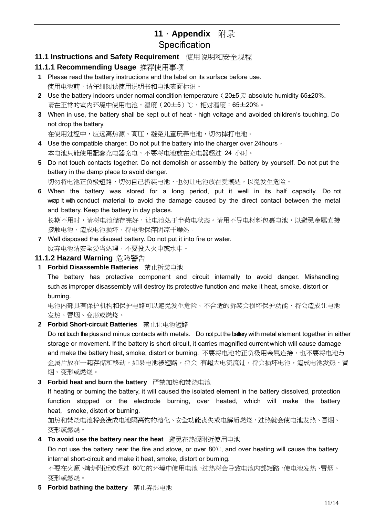## **11**.**Appendix** 附录 **Specification**

#### **11.1 Instructions and Safety Requirement** 使用说明和安全规程

#### **11.1.1 Recommending Usage** 推荐使用事项

- **1** Please read the battery instructions and the label on its surface before use. 使用电池前,请仔细阅读使用说明书和电池表面标识。
- **2** Use the battery indoors under normal condition temperature: (20±5)℃ absolute humidity 65±20%. 请在正常的室内环境中使用电池,温度(20±5)℃,相对温度:65±20%。
- **3** When in use, the battery shall be kept out of heat、high voltage and avoided children's touching. Do not drop the battery.

```
在使用过程中,应远离热源、高压,避免儿童玩弄电池,切勿摔打电池。
```
- **4** Use the compatible charger. Do not put the battery into the charger over 24hours。 本电池只能使用配套充电器充电,不要将电池放在充电器超过 24 小时。
- **5** Do not touch contacts together. Do not demolish or assembly the battery by yourself. Do not put the battery in the damp place to avoid danger.

切勿将电池正负极短路,切勿自己拆装电池,也勿让电池放在受潮处,以免发生危险。

**6** When the battery was stored for a long period, put it well in its half capacity. Do not wrap it with conduct material to avoid the damage caused by the direct contact between the metal and battery. Keep the battery in day places.

```
长期不用时,请将电池储存完好,让电池处于半荷电状态。请用不导电材料包裹电池,以避免金属直接
接触电池,造成电池损坏,将电池保存阴凉干燥处。
```
**7** Well disposed the disused battery. Do not put it into fire or water. 废弃电池请安全妥当处理,不要投入火中或水中。

#### **11.1.2 Hazard Warning** 危险警告

**1 Forbid Disassemble Batteries** 禁止拆装电池

The battery has protective component and circuit internally to avoid danger. Mishandling such as improper disassembly will destroy its protective function and make it heat, smoke, distort or burning.

电池内部具有保护机构和保护电路可以避免发生危险。不合适的拆装会损坏保护功能,将会造成让电池 发热、冒烟、变形或燃烧。

**2 Forbid Short-circuit Batteries** 禁止让电池短路

Do not touch the plus and minus contacts with metals. Do not put the battery with metal element together in either storage or movement. If the battery is short-circuit, it carries magnified current which will cause damage and make the battery heat, smoke, distort or burning. 不要将电池的正负极用金属连接,也不要将电池与 金属片放在一起存储和移动。如果电池被短路,将会 有超大电流流过,将会损坏电池,造成电池发热、冒 烟、变形或燃烧。

**3 Forbid heat and burn the battery** 严禁加热和焚烧电池

If heating or burning the battery, it will caused the isolated element in the battery dissolved, protection function stopped or the electrode burning, over heated, which will make the battery heat, smoke, distort or burning.

加热和焚烧电池将会造成电池隔离物的溶化、安全功能丧失或电解质燃烧,过热就会使电池发热、冒烟、 变形或燃烧。

**4 To avoid use the battery near the heat** 避免在热源附近使用电池

Do not use the battery near the fire and stove, or over 80℃, and over heating will cause the battery internal short-circuit and make it heat, smoke, distort or burning.

不要在火源、烤炉附近或超过 80℃的环境中使用电池,过热将会导致电池内部短路,使电池发热、冒烟、 变形或燃烧。

**5 Forbid bathing the battery** 禁止弄湿电池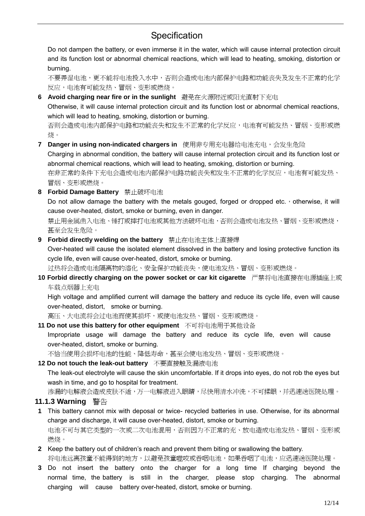Do not dampen the battery, or even immerse it in the water, which will cause internal protection circuit and its function lost or abnormal chemical reactions, which will lead to heating, smoking, distortion or burning.

不要弄湿电池,更不能将电池投入水中,否则会造成电池内部保护电路和功能丧失及发生不正常的化学 反应,电池有可能发热、冒烟、变形或燃烧。

- **6 Avoid charging near fire or in the sunlight** 避免在火源附近或阳光直射下充电 Otherwise, it will cause internal protection circuit and its function lost or abnormal chemical reactions, which will lead to heating, smoking, distortion or burning. 否则会造成电池内部保护电路和功能丧失和发生不正常的化学反应,电池有可能发热、冒烟、变形或燃 烧。
- **7 Danger in using non-indicated chargers in** 使用非专用充电器给电池充电,会发生危险 Charging in abnormal condition, the battery will cause internal protection circuit and its function lost or abnormal chemical reactions, which will lead to heating, smoking, distortion or burning. 在非正常的条件下充电会造成电池内部保护电路功能丧失和发生不正常的化学反应,电池有可能发热、 冒烟、变形或燃烧。
- **8 Forbid Damage Battery** 禁止破坏电池

Do not allow damage the battery with the metals gouged, forged or dropped etc., otherwise, it will cause over-heated, distort, smoke or burning, even in danger.

禁止用金属凿入电池、锤打或摔打电池或其他方法破坏电池,否则会造成电池发热、冒烟、变形或燃烧, 甚至会发生危险。

**9 Forbid directly welding on the battery** 禁止在电池主体上直接焊

Over-heated will cause the isolated element dissolved in the battery and losing protective function its cycle life, even will cause over-heated, distort, smoke or burning.

过热将会造成电池隔离物的溶化、安全保护功能丧失,使电池发热、冒烟、变形或燃烧。

**10 Forbid directly charging on the power socket or car kit cigarette** 严禁将电池直接在电源插座上或 车载点烟器上充电

High voltage and amplified current will damage the battery and reduce its cycle life, even will cause over-heated, distort, smoke or burning.

高压、大电流将会过电池而使其损坏,或使电池发热、冒烟、变形或燃烧。

**11 Do not use this battery for other equipment** 不可将电池用于其他设备 Impropriate usage will damage the battery and reduce its cycle life, even will cause over-heated, distort, smoke or burning. 不恰当使用会损坏电池的性能、降低寿命,甚至会使电池发热、冒烟、变形或燃烧。

#### **12 Do not touch the leak-out battery** 不要直接触及漏液电池

The leak-out electrolyte will cause the skin uncomfortable. If it drops into eyes, do not rob the eyes but wash in time, and go to hospital for treatment.

渗漏的电解液会造成皮肤不适,万一电解液进入眼睛,尽快用清水冲洗,不可揉眼,并迅速送医院处理。

#### **11.1.3 Warning** 警告

- **1** This battery cannot mix with deposal or twice- recycled batteries in use. Otherwise, for its abnormal charge and discharge, it will cause over-heated, distort, smoke or burning. 电池不可与其它类型的一次或二次电池混用,否则因为不正常的充、放电造成电池发热、冒烟、变形或 燃烧。
- **2** Keep the battery out of children's reach and prevent them biting or swallowing the battery. 将电池远离孩童不能得到的地方,以避免孩童噬咬或吞咽电池,如果吞咽了电池,应迅速送医院处理。
- **3** Do not insert the battery onto the charger for a long time If charging beyond the normal time, the battery is still in the charger, please stop charging. The abnormal charging will cause battery over-heated, distort, smoke or burning.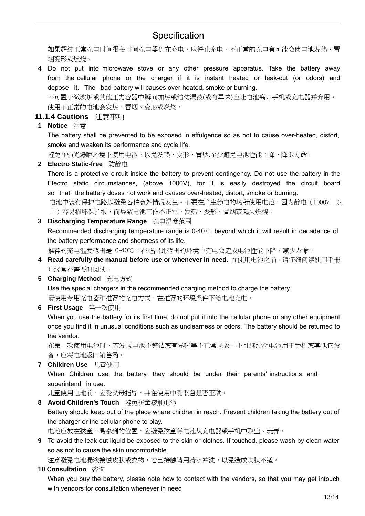如果超过正常充电时间很长时间充电器仍在充电,应停止充电,不正常的充电有可能会使电池发热、冒 烟变形或燃烧。

**4** Do not put into microwave stove or any other pressure apparatus. Take the battery away from the cellular phone or the charger if it is instant heated or leak-out (or odors) and depose it. The bad battery will causes over-heated, smoke or burning. 不可置于微波炉或其他压力容器中瞬间加热或结构漏液(或有异味)应让电池离开手机或充电器并弃用。

使用不正常的电池会发热、冒烟、变形或燃烧。

- **11.1.4 Cautions** 注意事项
- **1 Notice** 注意

The battery shall be prevented to be exposed in effulgence so as not to cause over-heated, distort, smoke and weaken its performance and cycle life.

避免在强光爆晒环境下使用电池,以免发热、变形、冒烟.至少避免电池性能下降、降低寿命。

**2 Electro Static-free** 防静电

There is a protective circuit inside the battery to prevent contingency. Do not use the battery in the Electro static circumstances, (above 1000V), for it is easily destroyed the circuit board so that the battery doses not work and causes over-heated, distort, smoke or burning.

电池中装有保护电路以避免各种意外情况发生。不要在产生静电的场所使用电池,因为静电(1000V 以 上)容易损坏保护板,而导致电池工作不正常,发热、变形、冒烟或起火燃烧。

**3 Discharging Temperature Range** 充电温度范围

Recommended discharging temperature range is 0-40℃, beyond which it will result in decadence of the battery performance and shortness of its life.

推荐的充电温度范围是 0-40℃。在超出此范围的环境中充电会造成电池性能下降、减少寿命。

- 4 Read carefully the manual before use or whenever in need. 在使用电池之前,请仔细阅读使用手册 并经常在需要时阅读。
- **5 Charging Method** 充电方式

Use the special chargers in the recommended charging method to charge the battery. 请使用专用充电器和推荐的充电方式,在推荐的环境条件下给电池充电。

**6 First Usage** 第一次使用

When you use the battery for its first time, do not put it into the cellular phone or any other equipment once you find it in unusual conditions such as unclearness or odors. The battery should be returned to the vendor.

在第一次使用电池时,若发现电池不整洁或有异味等不正常现象,不可继续将电池用于手机或其他它设 备,应将电池返回销售商。

**7 Children Use** 儿童使用 When Children use the battery, they should be under their parents' instructions and superintend in use.

儿童使用电池前,应受父母指导,并在使用中受监督是否正确。

**8 Avoid Children's Touch** 避免孩童接触电池

Battery should keep out of the place where children in reach. Prevent children taking the battery out of the charger or the cellular phone to play.

电池应放在孩童不易拿到的位置,应避免孩童将电池从充电器或手机中取出、玩弄。

**9** To avoid the leak-out liquid be exposed to the skin or clothes. If touched, please wash by clean water so as not to cause the skin uncomfortable

注意避免电池漏液接触皮肤或衣物,若已接触请用清水冲洗,以免造成皮肤不适。

**10 Consultation** 咨询

When you buy the battery, please note how to contact with the vendors, so that you may get intouch with vendors for consultation whenever in need